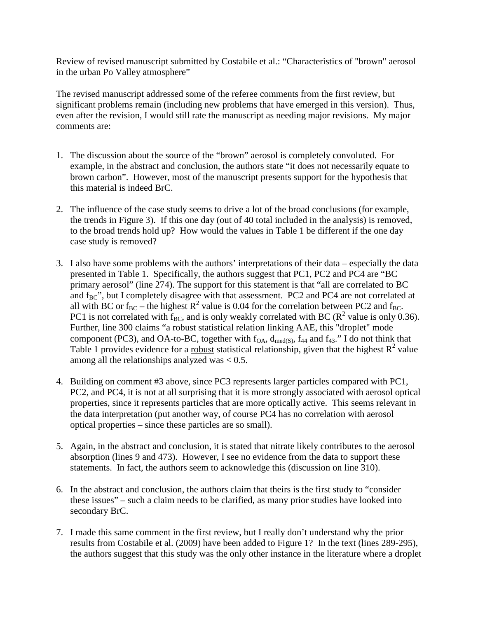Review of revised manuscript submitted by Costabile et al.: "Characteristics of "brown" aerosol in the urban Po Valley atmosphere"

The revised manuscript addressed some of the referee comments from the first review, but significant problems remain (including new problems that have emerged in this version). Thus, even after the revision, I would still rate the manuscript as needing major revisions. My major comments are:

- 1. The discussion about the source of the "brown" aerosol is completely convoluted. For example, in the abstract and conclusion, the authors state "it does not necessarily equate to brown carbon". However, most of the manuscript presents support for the hypothesis that this material is indeed BrC.
- 2. The influence of the case study seems to drive a lot of the broad conclusions (for example, the trends in Figure 3). If this one day (out of 40 total included in the analysis) is removed, to the broad trends hold up? How would the values in Table 1 be different if the one day case study is removed?
- 3. I also have some problems with the authors' interpretations of their data especially the data presented in Table 1. Specifically, the authors suggest that PC1, PC2 and PC4 are "BC primary aerosol" (line 274). The support for this statement is that "all are correlated to BC and  $f_{BC}$ ", but I completely disagree with that assessment. PC2 and PC4 are not correlated at all with BC or  $f_{BC}$  – the highest  $R^2$  value is 0.04 for the correlation between PC2 and  $f_{BC}$ . PC1 is not correlated with  $f_{BC}$ , and is only weakly correlated with BC ( $R^2$  value is only 0.36). Further, line 300 claims "a robust statistical relation linking AAE, this "droplet" mode component (PC3), and OA-to-BC, together with  $f_{OA}$ ,  $d_{med(S)}$ ,  $f_{44}$  and  $f_{43}$ ." I do not think that Table 1 provides evidence for a robust statistical relationship, given that the highest  $R^2$  value among all the relationships analyzed was  $< 0.5$ .
- 4. Building on comment #3 above, since PC3 represents larger particles compared with PC1, PC2, and PC4, it is not at all surprising that it is more strongly associated with aerosol optical properties, since it represents particles that are more optically active. This seems relevant in the data interpretation (put another way, of course PC4 has no correlation with aerosol optical properties – since these particles are so small).
- 5. Again, in the abstract and conclusion, it is stated that nitrate likely contributes to the aerosol absorption (lines 9 and 473). However, I see no evidence from the data to support these statements. In fact, the authors seem to acknowledge this (discussion on line 310).
- 6. In the abstract and conclusion, the authors claim that theirs is the first study to "consider these issues" – such a claim needs to be clarified, as many prior studies have looked into secondary BrC.
- 7. I made this same comment in the first review, but I really don't understand why the prior results from Costabile et al. (2009) have been added to Figure 1? In the text (lines 289-295), the authors suggest that this study was the only other instance in the literature where a droplet